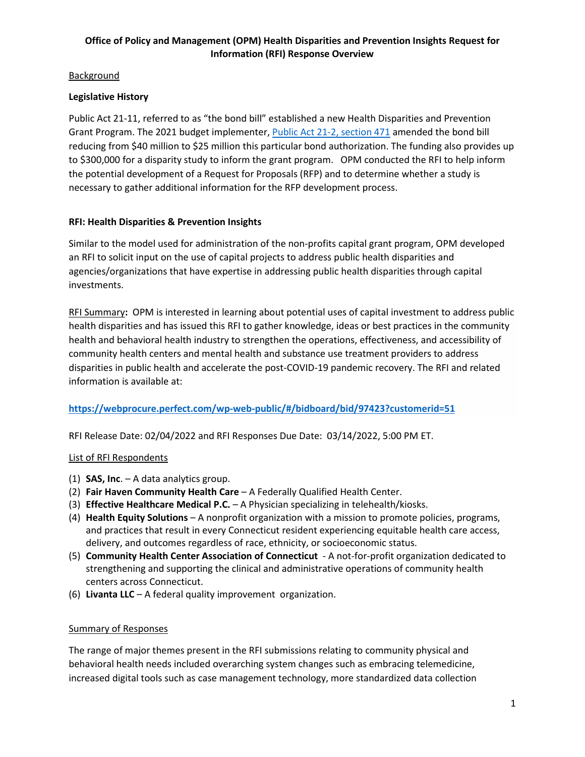## **Background**

## **Legislative History**

Public Act 21-11, referred to as "the bond bill" established a new Health Disparities and Prevention Grant Program. The 2021 budget implementer, [Public Act 21-2, section 471](https://www.cga.ct.gov/2021/ACT/PA/PDF/2021PA-00002-R00SB-01202SS1-PA.PDF) amended the bond bill reducing from \$40 million to \$25 million this particular bond authorization. The funding also provides up to \$300,000 for a disparity study to inform the grant program. OPM conducted the RFI to help inform the potential development of a Request for Proposals (RFP) and to determine whether a study is necessary to gather additional information for the RFP development process.

### **RFI: Health Disparities & Prevention Insights**

Similar to the model used for administration of the non-profits capital grant program, OPM developed an RFI to solicit input on the use of capital projects to address public health disparities and agencies/organizations that have expertise in addressing public health disparities through capital investments.

RFI Summary**:** OPM is interested in learning about potential uses of capital investment to address public health disparities and has issued this RFI to gather knowledge, ideas or best practices in the community health and behavioral health industry to strengthen the operations, effectiveness, and accessibility of community health centers and mental health and substance use treatment providers to address disparities in public health and accelerate the post-COVID-19 pandemic recovery. The RFI and related information is available at:

#### **<https://webprocure.perfect.com/wp-web-public/#/bidboard/bid/97423?customerid=51>**

RFI Release Date: 02/04/2022 and RFI Responses Due Date: 03/14/2022, 5:00 PM ET.

#### List of RFI Respondents

- (1) **SAS, Inc**. A data analytics group.
- (2) **Fair Haven Community Health Care** A Federally Qualified Health Center.
- (3) **Effective Healthcare Medical P.C.**  A Physician specializing in telehealth/kiosks.
- (4) **Health Equity Solutions** A nonprofit organization with a mission to promote policies, programs, and practices that result in every Connecticut resident experiencing equitable health care access, delivery, and outcomes regardless of race, ethnicity, or socioeconomic status.
- (5) **Community Health Center Association of Connecticut**  A not-for-profit organization dedicated to strengthening and supporting the clinical and administrative operations of community health centers across Connecticut.
- (6) **Livanta LLC** A federal quality improvement organization.

#### Summary of Responses

The range of major themes present in the RFI submissions relating to community physical and behavioral health needs included overarching system changes such as embracing telemedicine, increased digital tools such as case management technology, more standardized data collection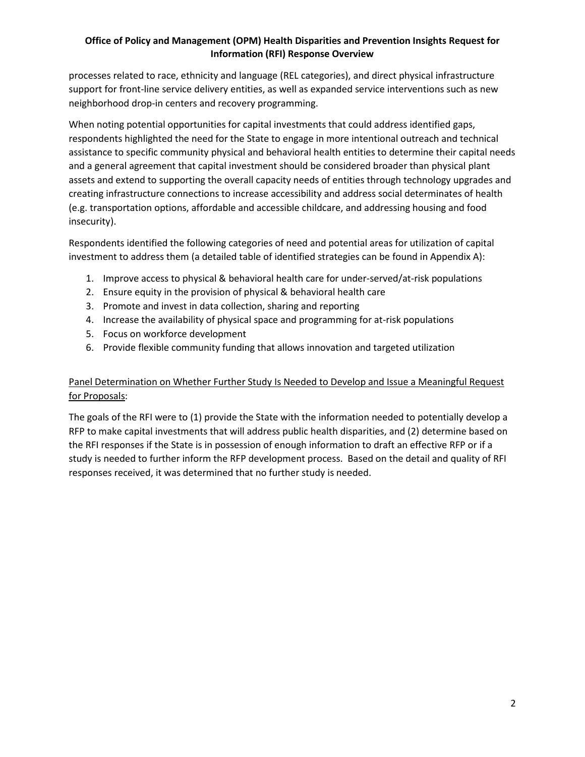processes related to race, ethnicity and language (REL categories), and direct physical infrastructure support for front-line service delivery entities, as well as expanded service interventions such as new neighborhood drop-in centers and recovery programming.

When noting potential opportunities for capital investments that could address identified gaps, respondents highlighted the need for the State to engage in more intentional outreach and technical assistance to specific community physical and behavioral health entities to determine their capital needs and a general agreement that capital investment should be considered broader than physical plant assets and extend to supporting the overall capacity needs of entities through technology upgrades and creating infrastructure connections to increase accessibility and address social determinates of health (e.g. transportation options, affordable and accessible childcare, and addressing housing and food insecurity).

Respondents identified the following categories of need and potential areas for utilization of capital investment to address them (a detailed table of identified strategies can be found in Appendix A):

- 1. Improve access to physical & behavioral health care for under-served/at-risk populations
- 2. Ensure equity in the provision of physical & behavioral health care
- 3. Promote and invest in data collection, sharing and reporting
- 4. Increase the availability of physical space and programming for at-risk populations
- 5. Focus on workforce development
- 6. Provide flexible community funding that allows innovation and targeted utilization

## Panel Determination on Whether Further Study Is Needed to Develop and Issue a Meaningful Request for Proposals:

The goals of the RFI were to (1) provide the State with the information needed to potentially develop a RFP to make capital investments that will address public health disparities, and (2) determine based on the RFI responses if the State is in possession of enough information to draft an effective RFP or if a study is needed to further inform the RFP development process. Based on the detail and quality of RFI responses received, it was determined that no further study is needed.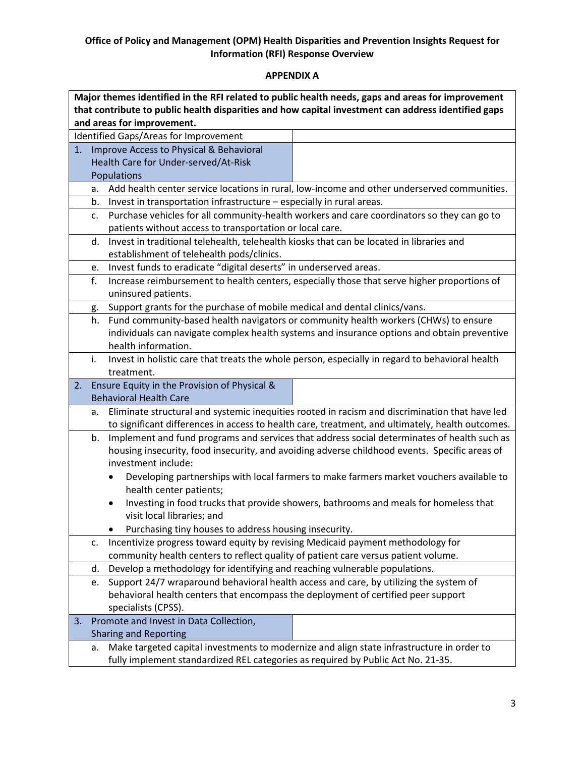# **APPENDIX A**

| Major themes identified in the RFI related to public health needs, gaps and areas for improvement   |                                                                                                                                                                                     |                                                                                                                                                                            |                                                                                                  |  |  |
|-----------------------------------------------------------------------------------------------------|-------------------------------------------------------------------------------------------------------------------------------------------------------------------------------------|----------------------------------------------------------------------------------------------------------------------------------------------------------------------------|--------------------------------------------------------------------------------------------------|--|--|
| that contribute to public health disparities and how capital investment can address identified gaps |                                                                                                                                                                                     |                                                                                                                                                                            |                                                                                                  |  |  |
| and areas for improvement.                                                                          |                                                                                                                                                                                     |                                                                                                                                                                            |                                                                                                  |  |  |
| Identified Gaps/Areas for Improvement                                                               |                                                                                                                                                                                     |                                                                                                                                                                            |                                                                                                  |  |  |
| 1.                                                                                                  |                                                                                                                                                                                     | Improve Access to Physical & Behavioral                                                                                                                                    |                                                                                                  |  |  |
|                                                                                                     |                                                                                                                                                                                     | Health Care for Under-served/At-Risk                                                                                                                                       |                                                                                                  |  |  |
|                                                                                                     |                                                                                                                                                                                     | Populations                                                                                                                                                                |                                                                                                  |  |  |
|                                                                                                     | a.                                                                                                                                                                                  |                                                                                                                                                                            | Add health center service locations in rural, low-income and other underserved communities.      |  |  |
|                                                                                                     | b.                                                                                                                                                                                  | Invest in transportation infrastructure - especially in rural areas.                                                                                                       |                                                                                                  |  |  |
|                                                                                                     | c.                                                                                                                                                                                  |                                                                                                                                                                            | Purchase vehicles for all community-health workers and care coordinators so they can go to       |  |  |
|                                                                                                     |                                                                                                                                                                                     | patients without access to transportation or local care.                                                                                                                   |                                                                                                  |  |  |
|                                                                                                     | d.                                                                                                                                                                                  | Invest in traditional telehealth, telehealth kiosks that can be located in libraries and                                                                                   |                                                                                                  |  |  |
|                                                                                                     |                                                                                                                                                                                     | establishment of telehealth pods/clinics.                                                                                                                                  |                                                                                                  |  |  |
|                                                                                                     | e.                                                                                                                                                                                  | Invest funds to eradicate "digital deserts" in underserved areas.                                                                                                          |                                                                                                  |  |  |
|                                                                                                     | f.                                                                                                                                                                                  |                                                                                                                                                                            | Increase reimbursement to health centers, especially those that serve higher proportions of      |  |  |
|                                                                                                     |                                                                                                                                                                                     | uninsured patients.                                                                                                                                                        |                                                                                                  |  |  |
|                                                                                                     | g.                                                                                                                                                                                  | Support grants for the purchase of mobile medical and dental clinics/vans.                                                                                                 |                                                                                                  |  |  |
|                                                                                                     | h.                                                                                                                                                                                  |                                                                                                                                                                            | Fund community-based health navigators or community health workers (CHWs) to ensure              |  |  |
|                                                                                                     |                                                                                                                                                                                     |                                                                                                                                                                            | individuals can navigate complex health systems and insurance options and obtain preventive      |  |  |
|                                                                                                     |                                                                                                                                                                                     | health information.                                                                                                                                                        |                                                                                                  |  |  |
|                                                                                                     | i.                                                                                                                                                                                  |                                                                                                                                                                            | Invest in holistic care that treats the whole person, especially in regard to behavioral health  |  |  |
|                                                                                                     |                                                                                                                                                                                     | treatment.                                                                                                                                                                 |                                                                                                  |  |  |
| 2.                                                                                                  |                                                                                                                                                                                     | Ensure Equity in the Provision of Physical &                                                                                                                               |                                                                                                  |  |  |
|                                                                                                     |                                                                                                                                                                                     | <b>Behavioral Health Care</b>                                                                                                                                              |                                                                                                  |  |  |
|                                                                                                     | а.                                                                                                                                                                                  |                                                                                                                                                                            | Eliminate structural and systemic inequities rooted in racism and discrimination that have led   |  |  |
|                                                                                                     |                                                                                                                                                                                     |                                                                                                                                                                            | to significant differences in access to health care, treatment, and ultimately, health outcomes. |  |  |
|                                                                                                     | b.                                                                                                                                                                                  |                                                                                                                                                                            | Implement and fund programs and services that address social determinates of health such as      |  |  |
|                                                                                                     |                                                                                                                                                                                     | housing insecurity, food insecurity, and avoiding adverse childhood events. Specific areas of                                                                              |                                                                                                  |  |  |
|                                                                                                     |                                                                                                                                                                                     | investment include:                                                                                                                                                        |                                                                                                  |  |  |
|                                                                                                     |                                                                                                                                                                                     | $\bullet$                                                                                                                                                                  | Developing partnerships with local farmers to make farmers market vouchers available to          |  |  |
|                                                                                                     |                                                                                                                                                                                     | health center patients;                                                                                                                                                    |                                                                                                  |  |  |
|                                                                                                     |                                                                                                                                                                                     |                                                                                                                                                                            | Investing in food trucks that provide showers, bathrooms and meals for homeless that             |  |  |
|                                                                                                     |                                                                                                                                                                                     | visit local libraries; and                                                                                                                                                 |                                                                                                  |  |  |
|                                                                                                     | Purchasing tiny houses to address housing insecurity.<br>Incentivize progress toward equity by revising Medicaid payment methodology for                                            |                                                                                                                                                                            |                                                                                                  |  |  |
|                                                                                                     | c.                                                                                                                                                                                  |                                                                                                                                                                            |                                                                                                  |  |  |
|                                                                                                     |                                                                                                                                                                                     | community health centers to reflect quality of patient care versus patient volume.                                                                                         |                                                                                                  |  |  |
|                                                                                                     | d.                                                                                                                                                                                  | Develop a methodology for identifying and reaching vulnerable populations.                                                                                                 |                                                                                                  |  |  |
|                                                                                                     | e.                                                                                                                                                                                  | Support 24/7 wraparound behavioral health access and care, by utilizing the system of<br>behavioral health centers that encompass the deployment of certified peer support |                                                                                                  |  |  |
|                                                                                                     |                                                                                                                                                                                     |                                                                                                                                                                            |                                                                                                  |  |  |
| 3.                                                                                                  |                                                                                                                                                                                     | specialists (CPSS).<br>Promote and Invest in Data Collection,                                                                                                              |                                                                                                  |  |  |
|                                                                                                     |                                                                                                                                                                                     | <b>Sharing and Reporting</b>                                                                                                                                               |                                                                                                  |  |  |
|                                                                                                     |                                                                                                                                                                                     |                                                                                                                                                                            |                                                                                                  |  |  |
|                                                                                                     | Make targeted capital investments to modernize and align state infrastructure in order to<br>a.<br>fully implement standardized REL categories as required by Public Act No. 21-35. |                                                                                                                                                                            |                                                                                                  |  |  |
|                                                                                                     |                                                                                                                                                                                     |                                                                                                                                                                            |                                                                                                  |  |  |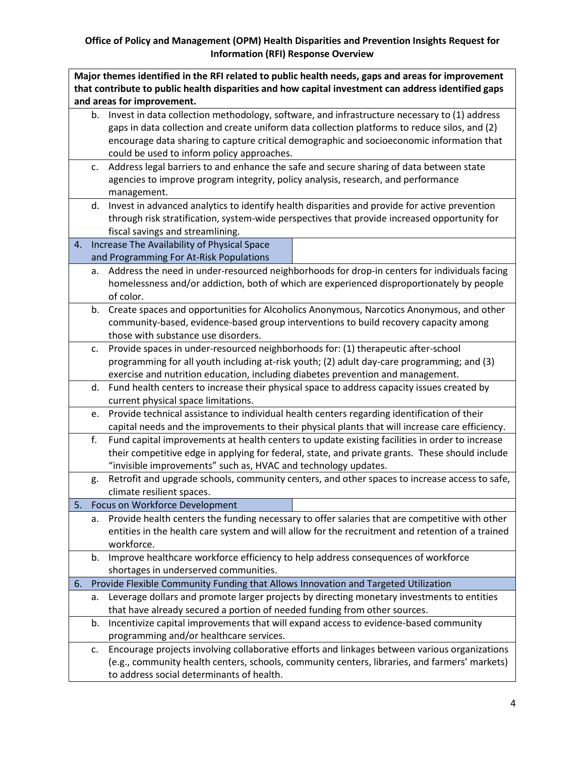| Major themes identified in the RFI related to public health needs, gaps and areas for improvement   |    |                                                                                                  |  |  |
|-----------------------------------------------------------------------------------------------------|----|--------------------------------------------------------------------------------------------------|--|--|
| that contribute to public health disparities and how capital investment can address identified gaps |    |                                                                                                  |  |  |
|                                                                                                     |    | and areas for improvement.                                                                       |  |  |
|                                                                                                     |    | b. Invest in data collection methodology, software, and infrastructure necessary to (1) address  |  |  |
|                                                                                                     |    | gaps in data collection and create uniform data collection platforms to reduce silos, and (2)    |  |  |
|                                                                                                     |    | encourage data sharing to capture critical demographic and socioeconomic information that        |  |  |
|                                                                                                     |    | could be used to inform policy approaches.                                                       |  |  |
|                                                                                                     | c. | Address legal barriers to and enhance the safe and secure sharing of data between state          |  |  |
|                                                                                                     |    | agencies to improve program integrity, policy analysis, research, and performance                |  |  |
|                                                                                                     |    | management.                                                                                      |  |  |
|                                                                                                     | d. | Invest in advanced analytics to identify health disparities and provide for active prevention    |  |  |
|                                                                                                     |    | through risk stratification, system-wide perspectives that provide increased opportunity for     |  |  |
|                                                                                                     |    | fiscal savings and streamlining.                                                                 |  |  |
| 4.                                                                                                  |    | Increase The Availability of Physical Space                                                      |  |  |
|                                                                                                     |    | and Programming For At-Risk Populations                                                          |  |  |
|                                                                                                     | a. | Address the need in under-resourced neighborhoods for drop-in centers for individuals facing     |  |  |
|                                                                                                     |    |                                                                                                  |  |  |
|                                                                                                     |    | homelessness and/or addiction, both of which are experienced disproportionately by people        |  |  |
|                                                                                                     |    | of color.                                                                                        |  |  |
|                                                                                                     | b. | Create spaces and opportunities for Alcoholics Anonymous, Narcotics Anonymous, and other         |  |  |
|                                                                                                     |    | community-based, evidence-based group interventions to build recovery capacity among             |  |  |
|                                                                                                     |    | those with substance use disorders.                                                              |  |  |
|                                                                                                     | c. | Provide spaces in under-resourced neighborhoods for: (1) therapeutic after-school                |  |  |
|                                                                                                     |    | programming for all youth including at-risk youth; (2) adult day-care programming; and (3)       |  |  |
|                                                                                                     |    | exercise and nutrition education, including diabetes prevention and management.                  |  |  |
|                                                                                                     | d. | Fund health centers to increase their physical space to address capacity issues created by       |  |  |
|                                                                                                     |    | current physical space limitations.                                                              |  |  |
|                                                                                                     | e. | Provide technical assistance to individual health centers regarding identification of their      |  |  |
|                                                                                                     |    | capital needs and the improvements to their physical plants that will increase care efficiency.  |  |  |
|                                                                                                     | f. | Fund capital improvements at health centers to update existing facilities in order to increase   |  |  |
|                                                                                                     |    | their competitive edge in applying for federal, state, and private grants. These should include  |  |  |
|                                                                                                     |    | "invisible improvements" such as, HVAC and technology updates.                                   |  |  |
|                                                                                                     | g. | Retrofit and upgrade schools, community centers, and other spaces to increase access to safe,    |  |  |
|                                                                                                     |    | climate resilient spaces.                                                                        |  |  |
| 5.                                                                                                  |    | Focus on Workforce Development                                                                   |  |  |
|                                                                                                     | a. | Provide health centers the funding necessary to offer salaries that are competitive with other   |  |  |
|                                                                                                     |    | entities in the health care system and will allow for the recruitment and retention of a trained |  |  |
|                                                                                                     |    | workforce.                                                                                       |  |  |
|                                                                                                     | b. | Improve healthcare workforce efficiency to help address consequences of workforce                |  |  |
|                                                                                                     |    | shortages in underserved communities.                                                            |  |  |
| 6.                                                                                                  |    | Provide Flexible Community Funding that Allows Innovation and Targeted Utilization               |  |  |
|                                                                                                     | а. | Leverage dollars and promote larger projects by directing monetary investments to entities       |  |  |
|                                                                                                     |    | that have already secured a portion of needed funding from other sources.                        |  |  |
|                                                                                                     | b. | Incentivize capital improvements that will expand access to evidence-based community             |  |  |
|                                                                                                     |    | programming and/or healthcare services.                                                          |  |  |
|                                                                                                     | c. | Encourage projects involving collaborative efforts and linkages between various organizations    |  |  |
|                                                                                                     |    | (e.g., community health centers, schools, community centers, libraries, and farmers' markets)    |  |  |
|                                                                                                     |    | to address social determinants of health.                                                        |  |  |
|                                                                                                     |    |                                                                                                  |  |  |